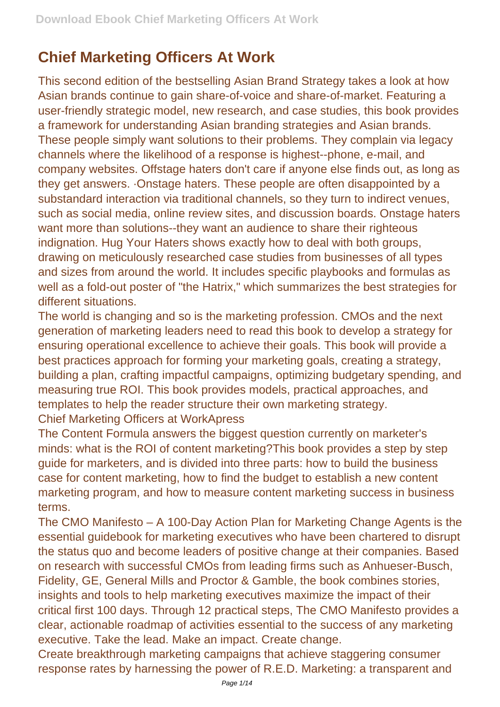## **Chief Marketing Officers At Work**

This second edition of the bestselling Asian Brand Strategy takes a look at how Asian brands continue to gain share-of-voice and share-of-market. Featuring a user-friendly strategic model, new research, and case studies, this book provides a framework for understanding Asian branding strategies and Asian brands. These people simply want solutions to their problems. They complain via legacy channels where the likelihood of a response is highest--phone, e-mail, and company websites. Offstage haters don't care if anyone else finds out, as long as they get answers. ·Onstage haters. These people are often disappointed by a substandard interaction via traditional channels, so they turn to indirect venues, such as social media, online review sites, and discussion boards. Onstage haters want more than solutions--they want an audience to share their righteous indignation. Hug Your Haters shows exactly how to deal with both groups, drawing on meticulously researched case studies from businesses of all types and sizes from around the world. It includes specific playbooks and formulas as well as a fold-out poster of "the Hatrix," which summarizes the best strategies for different situations.

The world is changing and so is the marketing profession. CMOs and the next generation of marketing leaders need to read this book to develop a strategy for ensuring operational excellence to achieve their goals. This book will provide a best practices approach for forming your marketing goals, creating a strategy, building a plan, crafting impactful campaigns, optimizing budgetary spending, and measuring true ROI. This book provides models, practical approaches, and templates to help the reader structure their own marketing strategy. Chief Marketing Officers at WorkApress

The Content Formula answers the biggest question currently on marketer's minds: what is the ROI of content marketing?This book provides a step by step guide for marketers, and is divided into three parts: how to build the business case for content marketing, how to find the budget to establish a new content marketing program, and how to measure content marketing success in business terms.

The CMO Manifesto – A 100-Day Action Plan for Marketing Change Agents is the essential guidebook for marketing executives who have been chartered to disrupt the status quo and become leaders of positive change at their companies. Based on research with successful CMOs from leading firms such as Anhueser-Busch, Fidelity, GE, General Mills and Proctor & Gamble, the book combines stories, insights and tools to help marketing executives maximize the impact of their critical first 100 days. Through 12 practical steps, The CMO Manifesto provides a clear, actionable roadmap of activities essential to the success of any marketing executive. Take the lead. Make an impact. Create change.

Create breakthrough marketing campaigns that achieve staggering consumer response rates by harnessing the power of R.E.D. Marketing: a transparent and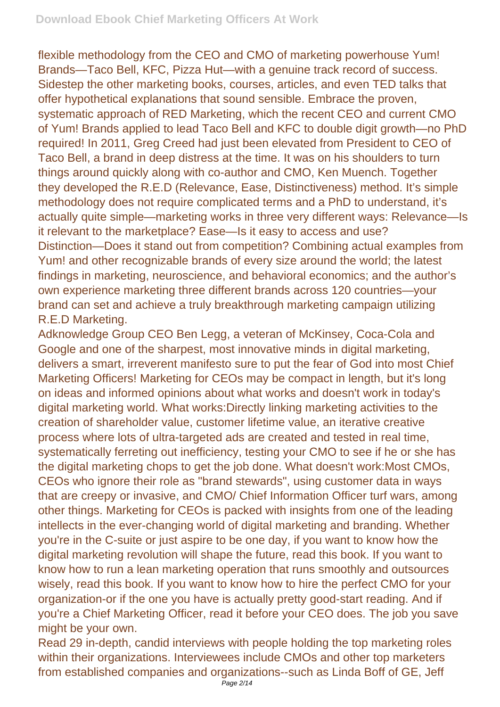flexible methodology from the CEO and CMO of marketing powerhouse Yum! Brands—Taco Bell, KFC, Pizza Hut—with a genuine track record of success. Sidestep the other marketing books, courses, articles, and even TED talks that offer hypothetical explanations that sound sensible. Embrace the proven, systematic approach of RED Marketing, which the recent CEO and current CMO of Yum! Brands applied to lead Taco Bell and KFC to double digit growth—no PhD required! In 2011, Greg Creed had just been elevated from President to CEO of Taco Bell, a brand in deep distress at the time. It was on his shoulders to turn things around quickly along with co-author and CMO, Ken Muench. Together they developed the R.E.D (Relevance, Ease, Distinctiveness) method. It's simple methodology does not require complicated terms and a PhD to understand, it's actually quite simple—marketing works in three very different ways: Relevance—Is it relevant to the marketplace? Ease—Is it easy to access and use? Distinction—Does it stand out from competition? Combining actual examples from Yum! and other recognizable brands of every size around the world; the latest findings in marketing, neuroscience, and behavioral economics; and the author's own experience marketing three different brands across 120 countries—your brand can set and achieve a truly breakthrough marketing campaign utilizing R.E.D Marketing.

Adknowledge Group CEO Ben Legg, a veteran of McKinsey, Coca-Cola and Google and one of the sharpest, most innovative minds in digital marketing, delivers a smart, irreverent manifesto sure to put the fear of God into most Chief Marketing Officers! Marketing for CEOs may be compact in length, but it's long on ideas and informed opinions about what works and doesn't work in today's digital marketing world. What works:Directly linking marketing activities to the creation of shareholder value, customer lifetime value, an iterative creative process where lots of ultra-targeted ads are created and tested in real time, systematically ferreting out inefficiency, testing your CMO to see if he or she has the digital marketing chops to get the job done. What doesn't work:Most CMOs, CEOs who ignore their role as "brand stewards", using customer data in ways that are creepy or invasive, and CMO/ Chief Information Officer turf wars, among other things. Marketing for CEOs is packed with insights from one of the leading intellects in the ever-changing world of digital marketing and branding. Whether you're in the C-suite or just aspire to be one day, if you want to know how the digital marketing revolution will shape the future, read this book. If you want to know how to run a lean marketing operation that runs smoothly and outsources wisely, read this book. If you want to know how to hire the perfect CMO for your organization-or if the one you have is actually pretty good-start reading. And if you're a Chief Marketing Officer, read it before your CEO does. The job you save might be your own.

Read 29 in-depth, candid interviews with people holding the top marketing roles within their organizations. Interviewees include CMOs and other top marketers from established companies and organizations--such as Linda Boff of GE, Jeff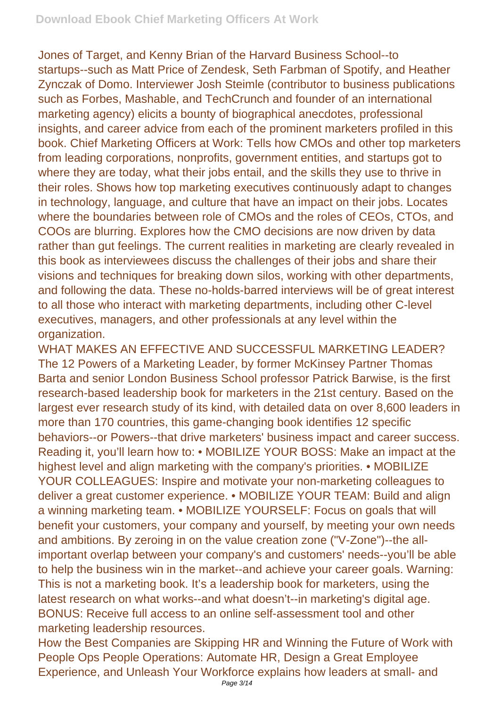Jones of Target, and Kenny Brian of the Harvard Business School--to startups--such as Matt Price of Zendesk, Seth Farbman of Spotify, and Heather Zynczak of Domo. Interviewer Josh Steimle (contributor to business publications such as Forbes, Mashable, and TechCrunch and founder of an international marketing agency) elicits a bounty of biographical anecdotes, professional insights, and career advice from each of the prominent marketers profiled in this book. Chief Marketing Officers at Work: Tells how CMOs and other top marketers from leading corporations, nonprofits, government entities, and startups got to where they are today, what their jobs entail, and the skills they use to thrive in their roles. Shows how top marketing executives continuously adapt to changes in technology, language, and culture that have an impact on their jobs. Locates where the boundaries between role of CMOs and the roles of CEOs, CTOs, and COOs are blurring. Explores how the CMO decisions are now driven by data rather than gut feelings. The current realities in marketing are clearly revealed in this book as interviewees discuss the challenges of their jobs and share their visions and techniques for breaking down silos, working with other departments, and following the data. These no-holds-barred interviews will be of great interest to all those who interact with marketing departments, including other C-level executives, managers, and other professionals at any level within the organization.

WHAT MAKES AN EFFECTIVE AND SUCCESSFUL MARKETING LEADER? The 12 Powers of a Marketing Leader, by former McKinsey Partner Thomas Barta and senior London Business School professor Patrick Barwise, is the first research-based leadership book for marketers in the 21st century. Based on the largest ever research study of its kind, with detailed data on over 8,600 leaders in more than 170 countries, this game-changing book identifies 12 specific behaviors--or Powers--that drive marketers' business impact and career success. Reading it, you'll learn how to: • MOBILIZE YOUR BOSS: Make an impact at the highest level and align marketing with the company's priorities. • MOBILIZE YOUR COLLEAGUES: Inspire and motivate your non-marketing colleagues to deliver a great customer experience. • MOBILIZE YOUR TEAM: Build and align a winning marketing team. • MOBILIZE YOURSELF: Focus on goals that will benefit your customers, your company and yourself, by meeting your own needs and ambitions. By zeroing in on the value creation zone ("V-Zone")--the allimportant overlap between your company's and customers' needs--you'll be able to help the business win in the market--and achieve your career goals. Warning: This is not a marketing book. It's a leadership book for marketers, using the latest research on what works--and what doesn't--in marketing's digital age. BONUS: Receive full access to an online self-assessment tool and other marketing leadership resources.

How the Best Companies are Skipping HR and Winning the Future of Work with People Ops People Operations: Automate HR, Design a Great Employee Experience, and Unleash Your Workforce explains how leaders at small- and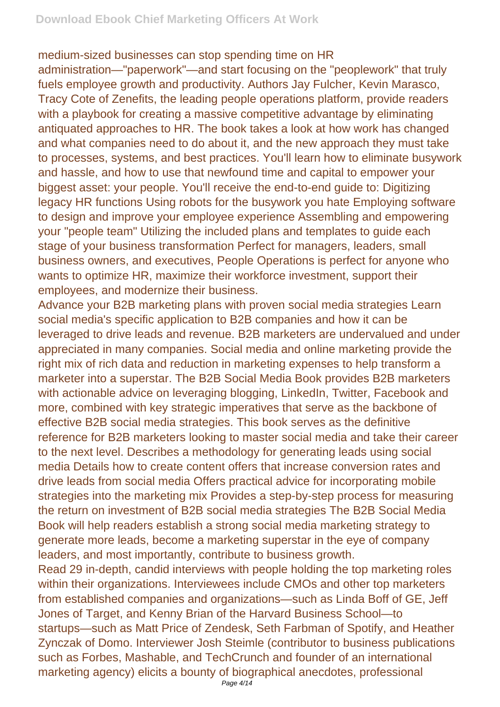medium-sized businesses can stop spending time on HR

administration—"paperwork"—and start focusing on the "peoplework" that truly fuels employee growth and productivity. Authors Jay Fulcher, Kevin Marasco, Tracy Cote of Zenefits, the leading people operations platform, provide readers with a playbook for creating a massive competitive advantage by eliminating antiquated approaches to HR. The book takes a look at how work has changed and what companies need to do about it, and the new approach they must take to processes, systems, and best practices. You'll learn how to eliminate busywork and hassle, and how to use that newfound time and capital to empower your biggest asset: your people. You'll receive the end-to-end guide to: Digitizing legacy HR functions Using robots for the busywork you hate Employing software to design and improve your employee experience Assembling and empowering your "people team" Utilizing the included plans and templates to guide each stage of your business transformation Perfect for managers, leaders, small business owners, and executives, People Operations is perfect for anyone who wants to optimize HR, maximize their workforce investment, support their employees, and modernize their business.

Advance your B2B marketing plans with proven social media strategies Learn social media's specific application to B2B companies and how it can be leveraged to drive leads and revenue. B2B marketers are undervalued and under appreciated in many companies. Social media and online marketing provide the right mix of rich data and reduction in marketing expenses to help transform a marketer into a superstar. The B2B Social Media Book provides B2B marketers with actionable advice on leveraging blogging, LinkedIn, Twitter, Facebook and more, combined with key strategic imperatives that serve as the backbone of effective B2B social media strategies. This book serves as the definitive reference for B2B marketers looking to master social media and take their career to the next level. Describes a methodology for generating leads using social media Details how to create content offers that increase conversion rates and drive leads from social media Offers practical advice for incorporating mobile strategies into the marketing mix Provides a step-by-step process for measuring the return on investment of B2B social media strategies The B2B Social Media Book will help readers establish a strong social media marketing strategy to generate more leads, become a marketing superstar in the eye of company leaders, and most importantly, contribute to business growth.

Read 29 in-depth, candid interviews with people holding the top marketing roles within their organizations. Interviewees include CMOs and other top marketers from established companies and organizations—such as Linda Boff of GE, Jeff Jones of Target, and Kenny Brian of the Harvard Business School—to startups—such as Matt Price of Zendesk, Seth Farbman of Spotify, and Heather Zynczak of Domo. Interviewer Josh Steimle (contributor to business publications such as Forbes, Mashable, and TechCrunch and founder of an international marketing agency) elicits a bounty of biographical anecdotes, professional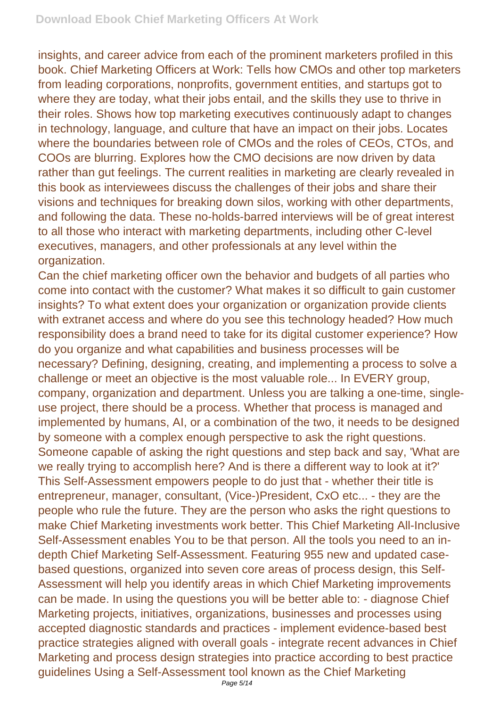insights, and career advice from each of the prominent marketers profiled in this book. Chief Marketing Officers at Work: Tells how CMOs and other top marketers from leading corporations, nonprofits, government entities, and startups got to where they are today, what their jobs entail, and the skills they use to thrive in their roles. Shows how top marketing executives continuously adapt to changes in technology, language, and culture that have an impact on their jobs. Locates where the boundaries between role of CMOs and the roles of CEOs, CTOs, and COOs are blurring. Explores how the CMO decisions are now driven by data rather than gut feelings. The current realities in marketing are clearly revealed in this book as interviewees discuss the challenges of their jobs and share their visions and techniques for breaking down silos, working with other departments, and following the data. These no-holds-barred interviews will be of great interest to all those who interact with marketing departments, including other C-level executives, managers, and other professionals at any level within the organization.

Can the chief marketing officer own the behavior and budgets of all parties who come into contact with the customer? What makes it so difficult to gain customer insights? To what extent does your organization or organization provide clients with extranet access and where do you see this technology headed? How much responsibility does a brand need to take for its digital customer experience? How do you organize and what capabilities and business processes will be necessary? Defining, designing, creating, and implementing a process to solve a challenge or meet an objective is the most valuable role... In EVERY group, company, organization and department. Unless you are talking a one-time, singleuse project, there should be a process. Whether that process is managed and implemented by humans, AI, or a combination of the two, it needs to be designed by someone with a complex enough perspective to ask the right questions. Someone capable of asking the right questions and step back and say, 'What are we really trying to accomplish here? And is there a different way to look at it?' This Self-Assessment empowers people to do just that - whether their title is entrepreneur, manager, consultant, (Vice-)President, CxO etc... - they are the people who rule the future. They are the person who asks the right questions to make Chief Marketing investments work better. This Chief Marketing All-Inclusive Self-Assessment enables You to be that person. All the tools you need to an indepth Chief Marketing Self-Assessment. Featuring 955 new and updated casebased questions, organized into seven core areas of process design, this Self-Assessment will help you identify areas in which Chief Marketing improvements can be made. In using the questions you will be better able to: - diagnose Chief Marketing projects, initiatives, organizations, businesses and processes using accepted diagnostic standards and practices - implement evidence-based best practice strategies aligned with overall goals - integrate recent advances in Chief Marketing and process design strategies into practice according to best practice guidelines Using a Self-Assessment tool known as the Chief Marketing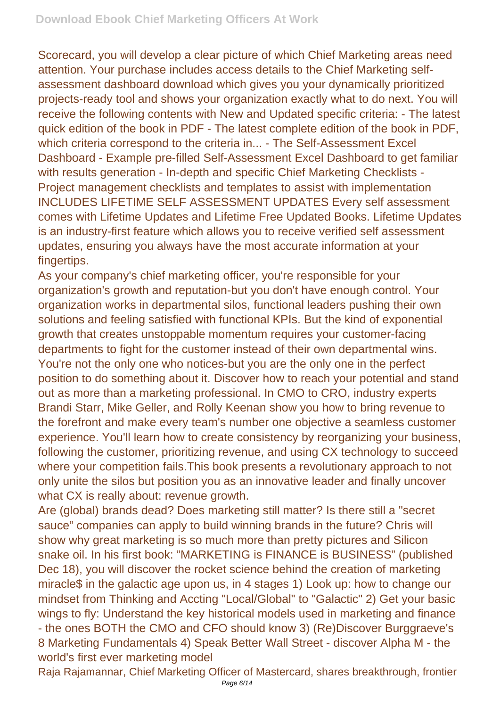Scorecard, you will develop a clear picture of which Chief Marketing areas need attention. Your purchase includes access details to the Chief Marketing selfassessment dashboard download which gives you your dynamically prioritized projects-ready tool and shows your organization exactly what to do next. You will receive the following contents with New and Updated specific criteria: - The latest quick edition of the book in PDF - The latest complete edition of the book in PDF, which criteria correspond to the criteria in... - The Self-Assessment Excel Dashboard - Example pre-filled Self-Assessment Excel Dashboard to get familiar with results generation - In-depth and specific Chief Marketing Checklists - Project management checklists and templates to assist with implementation INCLUDES LIFETIME SELF ASSESSMENT UPDATES Every self assessment comes with Lifetime Updates and Lifetime Free Updated Books. Lifetime Updates is an industry-first feature which allows you to receive verified self assessment updates, ensuring you always have the most accurate information at your fingertips.

As your company's chief marketing officer, you're responsible for your organization's growth and reputation-but you don't have enough control. Your organization works in departmental silos, functional leaders pushing their own solutions and feeling satisfied with functional KPIs. But the kind of exponential growth that creates unstoppable momentum requires your customer-facing departments to fight for the customer instead of their own departmental wins. You're not the only one who notices-but you are the only one in the perfect position to do something about it. Discover how to reach your potential and stand out as more than a marketing professional. In CMO to CRO, industry experts Brandi Starr, Mike Geller, and Rolly Keenan show you how to bring revenue to the forefront and make every team's number one objective a seamless customer experience. You'll learn how to create consistency by reorganizing your business, following the customer, prioritizing revenue, and using CX technology to succeed where your competition fails.This book presents a revolutionary approach to not only unite the silos but position you as an innovative leader and finally uncover what CX is really about: revenue growth.

Are (global) brands dead? Does marketing still matter? Is there still a "secret sauce" companies can apply to build winning brands in the future? Chris will show why great marketing is so much more than pretty pictures and Silicon snake oil. In his first book: "MARKETING is FINANCE is BUSINESS" (published Dec 18), you will discover the rocket science behind the creation of marketing miracle\$ in the galactic age upon us, in 4 stages 1) Look up: how to change our mindset from Thinking and Accting "Local/Global" to "Galactic" 2) Get your basic wings to fly: Understand the key historical models used in marketing and finance - the ones BOTH the CMO and CFO should know 3) (Re)Discover Burggraeve's 8 Marketing Fundamentals 4) Speak Better Wall Street - discover Alpha M - the world's first ever marketing model

Raja Rajamannar, Chief Marketing Officer of Mastercard, shares breakthrough, frontier Page 6/14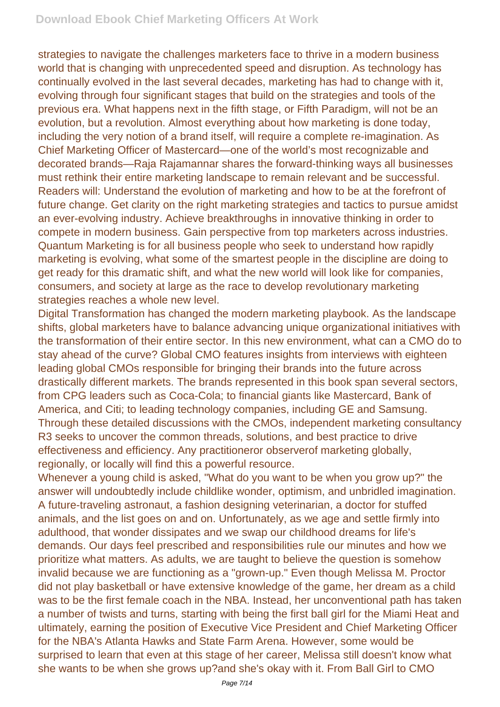strategies to navigate the challenges marketers face to thrive in a modern business world that is changing with unprecedented speed and disruption. As technology has continually evolved in the last several decades, marketing has had to change with it, evolving through four significant stages that build on the strategies and tools of the previous era. What happens next in the fifth stage, or Fifth Paradigm, will not be an evolution, but a revolution. Almost everything about how marketing is done today, including the very notion of a brand itself, will require a complete re-imagination. As Chief Marketing Officer of Mastercard—one of the world's most recognizable and decorated brands—Raja Rajamannar shares the forward-thinking ways all businesses must rethink their entire marketing landscape to remain relevant and be successful. Readers will: Understand the evolution of marketing and how to be at the forefront of future change. Get clarity on the right marketing strategies and tactics to pursue amidst an ever-evolving industry. Achieve breakthroughs in innovative thinking in order to compete in modern business. Gain perspective from top marketers across industries. Quantum Marketing is for all business people who seek to understand how rapidly marketing is evolving, what some of the smartest people in the discipline are doing to get ready for this dramatic shift, and what the new world will look like for companies, consumers, and society at large as the race to develop revolutionary marketing strategies reaches a whole new level.

Digital Transformation has changed the modern marketing playbook. As the landscape shifts, global marketers have to balance advancing unique organizational initiatives with the transformation of their entire sector. In this new environment, what can a CMO do to stay ahead of the curve? Global CMO features insights from interviews with eighteen leading global CMOs responsible for bringing their brands into the future across drastically different markets. The brands represented in this book span several sectors, from CPG leaders such as Coca-Cola; to financial giants like Mastercard, Bank of America, and Citi; to leading technology companies, including GE and Samsung. Through these detailed discussions with the CMOs, independent marketing consultancy R3 seeks to uncover the common threads, solutions, and best practice to drive effectiveness and efficiency. Any practitioneror observerof marketing globally, regionally, or locally will find this a powerful resource.

Whenever a young child is asked, "What do you want to be when you grow up?" the answer will undoubtedly include childlike wonder, optimism, and unbridled imagination. A future-traveling astronaut, a fashion designing veterinarian, a doctor for stuffed animals, and the list goes on and on. Unfortunately, as we age and settle firmly into adulthood, that wonder dissipates and we swap our childhood dreams for life's demands. Our days feel prescribed and responsibilities rule our minutes and how we prioritize what matters. As adults, we are taught to believe the question is somehow invalid because we are functioning as a "grown-up." Even though Melissa M. Proctor did not play basketball or have extensive knowledge of the game, her dream as a child was to be the first female coach in the NBA. Instead, her unconventional path has taken a number of twists and turns, starting with being the first ball girl for the Miami Heat and ultimately, earning the position of Executive Vice President and Chief Marketing Officer for the NBA's Atlanta Hawks and State Farm Arena. However, some would be surprised to learn that even at this stage of her career, Melissa still doesn't know what she wants to be when she grows up?and she's okay with it. From Ball Girl to CMO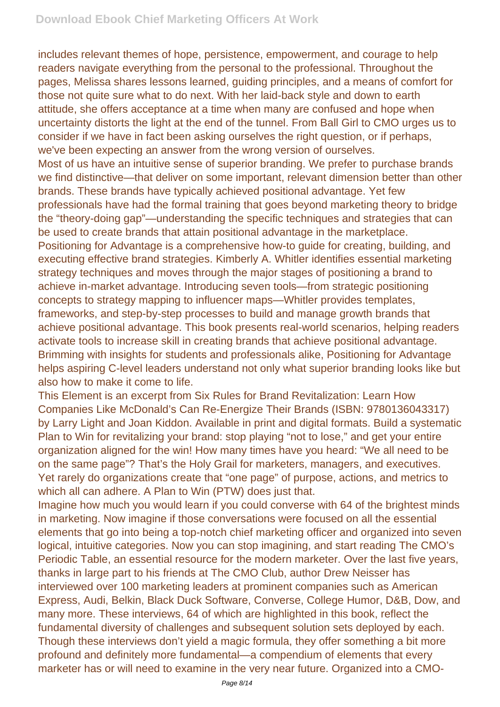includes relevant themes of hope, persistence, empowerment, and courage to help readers navigate everything from the personal to the professional. Throughout the pages, Melissa shares lessons learned, guiding principles, and a means of comfort for those not quite sure what to do next. With her laid-back style and down to earth attitude, she offers acceptance at a time when many are confused and hope when uncertainty distorts the light at the end of the tunnel. From Ball Girl to CMO urges us to consider if we have in fact been asking ourselves the right question, or if perhaps, we've been expecting an answer from the wrong version of ourselves.

Most of us have an intuitive sense of superior branding. We prefer to purchase brands we find distinctive—that deliver on some important, relevant dimension better than other brands. These brands have typically achieved positional advantage. Yet few professionals have had the formal training that goes beyond marketing theory to bridge the "theory-doing gap"—understanding the specific techniques and strategies that can be used to create brands that attain positional advantage in the marketplace. Positioning for Advantage is a comprehensive how-to guide for creating, building, and executing effective brand strategies. Kimberly A. Whitler identifies essential marketing strategy techniques and moves through the major stages of positioning a brand to achieve in-market advantage. Introducing seven tools—from strategic positioning concepts to strategy mapping to influencer maps—Whitler provides templates, frameworks, and step-by-step processes to build and manage growth brands that achieve positional advantage. This book presents real-world scenarios, helping readers activate tools to increase skill in creating brands that achieve positional advantage. Brimming with insights for students and professionals alike, Positioning for Advantage helps aspiring C-level leaders understand not only what superior branding looks like but also how to make it come to life.

This Element is an excerpt from Six Rules for Brand Revitalization: Learn How Companies Like McDonald's Can Re-Energize Their Brands (ISBN: 9780136043317) by Larry Light and Joan Kiddon. Available in print and digital formats. Build a systematic Plan to Win for revitalizing your brand: stop playing "not to lose," and get your entire organization aligned for the win! How many times have you heard: "We all need to be on the same page"? That's the Holy Grail for marketers, managers, and executives. Yet rarely do organizations create that "one page" of purpose, actions, and metrics to which all can adhere. A Plan to Win (PTW) does just that.

Imagine how much you would learn if you could converse with 64 of the brightest minds in marketing. Now imagine if those conversations were focused on all the essential elements that go into being a top-notch chief marketing officer and organized into seven logical, intuitive categories. Now you can stop imagining, and start reading The CMO's Periodic Table, an essential resource for the modern marketer. Over the last five years, thanks in large part to his friends at The CMO Club, author Drew Neisser has interviewed over 100 marketing leaders at prominent companies such as American Express, Audi, Belkin, Black Duck Software, Converse, College Humor, D&B, Dow, and many more. These interviews, 64 of which are highlighted in this book, reflect the fundamental diversity of challenges and subsequent solution sets deployed by each. Though these interviews don't yield a magic formula, they offer something a bit more profound and definitely more fundamental—a compendium of elements that every marketer has or will need to examine in the very near future. Organized into a CMO-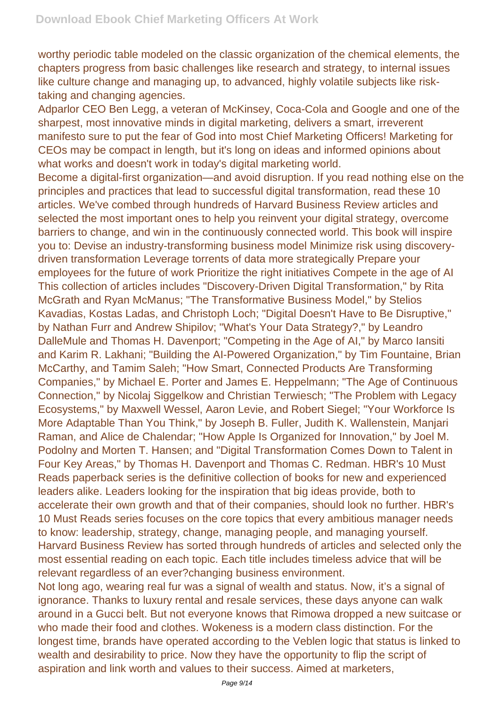worthy periodic table modeled on the classic organization of the chemical elements, the chapters progress from basic challenges like research and strategy, to internal issues like culture change and managing up, to advanced, highly volatile subjects like risktaking and changing agencies.

Adparlor CEO Ben Legg, a veteran of McKinsey, Coca-Cola and Google and one of the sharpest, most innovative minds in digital marketing, delivers a smart, irreverent manifesto sure to put the fear of God into most Chief Marketing Officers! Marketing for CEOs may be compact in length, but it's long on ideas and informed opinions about what works and doesn't work in today's digital marketing world.

Become a digital-first organization—and avoid disruption. If you read nothing else on the principles and practices that lead to successful digital transformation, read these 10 articles. We've combed through hundreds of Harvard Business Review articles and selected the most important ones to help you reinvent your digital strategy, overcome barriers to change, and win in the continuously connected world. This book will inspire you to: Devise an industry-transforming business model Minimize risk using discoverydriven transformation Leverage torrents of data more strategically Prepare your employees for the future of work Prioritize the right initiatives Compete in the age of AI This collection of articles includes "Discovery-Driven Digital Transformation," by Rita McGrath and Ryan McManus; "The Transformative Business Model," by Stelios Kavadias, Kostas Ladas, and Christoph Loch; "Digital Doesn't Have to Be Disruptive," by Nathan Furr and Andrew Shipilov; "What's Your Data Strategy?," by Leandro DalleMule and Thomas H. Davenport; "Competing in the Age of AI," by Marco Iansiti and Karim R. Lakhani; "Building the AI-Powered Organization," by Tim Fountaine, Brian McCarthy, and Tamim Saleh; "How Smart, Connected Products Are Transforming Companies," by Michael E. Porter and James E. Heppelmann; "The Age of Continuous Connection," by Nicolaj Siggelkow and Christian Terwiesch; "The Problem with Legacy Ecosystems," by Maxwell Wessel, Aaron Levie, and Robert Siegel; "Your Workforce Is More Adaptable Than You Think," by Joseph B. Fuller, Judith K. Wallenstein, Manjari Raman, and Alice de Chalendar; "How Apple Is Organized for Innovation," by Joel M. Podolny and Morten T. Hansen; and "Digital Transformation Comes Down to Talent in Four Key Areas," by Thomas H. Davenport and Thomas C. Redman. HBR's 10 Must Reads paperback series is the definitive collection of books for new and experienced leaders alike. Leaders looking for the inspiration that big ideas provide, both to accelerate their own growth and that of their companies, should look no further. HBR's 10 Must Reads series focuses on the core topics that every ambitious manager needs to know: leadership, strategy, change, managing people, and managing yourself. Harvard Business Review has sorted through hundreds of articles and selected only the most essential reading on each topic. Each title includes timeless advice that will be relevant regardless of an ever?changing business environment.

Not long ago, wearing real fur was a signal of wealth and status. Now, it's a signal of ignorance. Thanks to luxury rental and resale services, these days anyone can walk around in a Gucci belt. But not everyone knows that Rimowa dropped a new suitcase or who made their food and clothes. Wokeness is a modern class distinction. For the longest time, brands have operated according to the Veblen logic that status is linked to wealth and desirability to price. Now they have the opportunity to flip the script of aspiration and link worth and values to their success. Aimed at marketers,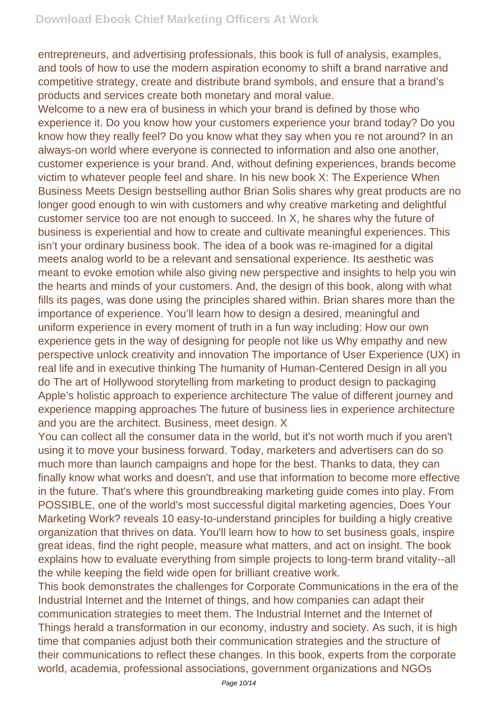entrepreneurs, and advertising professionals, this book is full of analysis, examples, and tools of how to use the modern aspiration economy to shift a brand narrative and competitive strategy, create and distribute brand symbols, and ensure that a brand's products and services create both monetary and moral value.

Welcome to a new era of business in which your brand is defined by those who experience it. Do you know how your customers experience your brand today? Do you know how they really feel? Do you know what they say when you re not around? In an always-on world where everyone is connected to information and also one another, customer experience is your brand. And, without defining experiences, brands become victim to whatever people feel and share. In his new book X: The Experience When Business Meets Design bestselling author Brian Solis shares why great products are no longer good enough to win with customers and why creative marketing and delightful customer service too are not enough to succeed. In X, he shares why the future of business is experiential and how to create and cultivate meaningful experiences. This isn't your ordinary business book. The idea of a book was re-imagined for a digital meets analog world to be a relevant and sensational experience. Its aesthetic was meant to evoke emotion while also giving new perspective and insights to help you win the hearts and minds of your customers. And, the design of this book, along with what fills its pages, was done using the principles shared within. Brian shares more than the importance of experience. You'll learn how to design a desired, meaningful and uniform experience in every moment of truth in a fun way including: How our own experience gets in the way of designing for people not like us Why empathy and new perspective unlock creativity and innovation The importance of User Experience (UX) in real life and in executive thinking The humanity of Human-Centered Design in all you do The art of Hollywood storytelling from marketing to product design to packaging Apple's holistic approach to experience architecture The value of different journey and experience mapping approaches The future of business lies in experience architecture and you are the architect. Business, meet design. X

You can collect all the consumer data in the world, but it's not worth much if you aren't using it to move your business forward. Today, marketers and advertisers can do so much more than launch campaigns and hope for the best. Thanks to data, they can finally know what works and doesn't, and use that information to become more effective in the future. That's where this groundbreaking marketing guide comes into play. From POSSIBLE, one of the world's most successful digital marketing agencies, Does Your Marketing Work? reveals 10 easy-to-understand principles for building a higly creative organization that thrives on data. You'll learn how to how to set business goals, inspire great ideas, find the right people, measure what matters, and act on insight. The book explains how to evaluate everything from simple projects to long-term brand vitality--all the while keeping the field wide open for brilliant creative work.

This book demonstrates the challenges for Corporate Communications in the era of the Industrial Internet and the Internet of things, and how companies can adapt their communication strategies to meet them. The Industrial Internet and the Internet of Things herald a transformation in our economy, industry and society. As such, it is high time that companies adjust both their communication strategies and the structure of their communications to reflect these changes. In this book, experts from the corporate world, academia, professional associations, government organizations and NGOs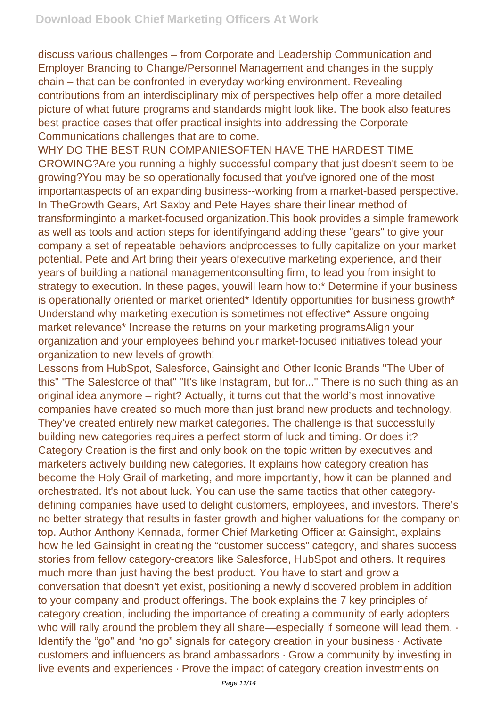discuss various challenges – from Corporate and Leadership Communication and Employer Branding to Change/Personnel Management and changes in the supply chain – that can be confronted in everyday working environment. Revealing contributions from an interdisciplinary mix of perspectives help offer a more detailed picture of what future programs and standards might look like. The book also features best practice cases that offer practical insights into addressing the Corporate Communications challenges that are to come.

WHY DO THE BEST RUN COMPANIESOFTEN HAVE THE HARDEST TIME GROWING?Are you running a highly successful company that just doesn't seem to be growing?You may be so operationally focused that you've ignored one of the most importantaspects of an expanding business--working from a market-based perspective. In TheGrowth Gears, Art Saxby and Pete Hayes share their linear method of transforminginto a market-focused organization.This book provides a simple framework as well as tools and action steps for identifyingand adding these "gears" to give your company a set of repeatable behaviors andprocesses to fully capitalize on your market potential. Pete and Art bring their years ofexecutive marketing experience, and their years of building a national managementconsulting firm, to lead you from insight to strategy to execution. In these pages, youwill learn how to:\* Determine if your business is operationally oriented or market oriented\* Identify opportunities for business growth\* Understand why marketing execution is sometimes not effective\* Assure ongoing market relevance\* Increase the returns on your marketing programsAlign your organization and your employees behind your market-focused initiatives tolead your organization to new levels of growth!

Lessons from HubSpot, Salesforce, Gainsight and Other Iconic Brands "The Uber of this" "The Salesforce of that" "It's like Instagram, but for..." There is no such thing as an original idea anymore – right? Actually, it turns out that the world's most innovative companies have created so much more than just brand new products and technology. They've created entirely new market categories. The challenge is that successfully building new categories requires a perfect storm of luck and timing. Or does it? Category Creation is the first and only book on the topic written by executives and marketers actively building new categories. It explains how category creation has become the Holy Grail of marketing, and more importantly, how it can be planned and orchestrated. It's not about luck. You can use the same tactics that other categorydefining companies have used to delight customers, employees, and investors. There's no better strategy that results in faster growth and higher valuations for the company on top. Author Anthony Kennada, former Chief Marketing Officer at Gainsight, explains how he led Gainsight in creating the "customer success" category, and shares success stories from fellow category-creators like Salesforce, HubSpot and others. It requires much more than just having the best product. You have to start and grow a conversation that doesn't yet exist, positioning a newly discovered problem in addition to your company and product offerings. The book explains the 7 key principles of category creation, including the importance of creating a community of early adopters who will rally around the problem they all share—especially if someone will lead them.  $\cdot$ Identify the "go" and "no go" signals for category creation in your business · Activate customers and influencers as brand ambassadors · Grow a community by investing in live events and experiences · Prove the impact of category creation investments on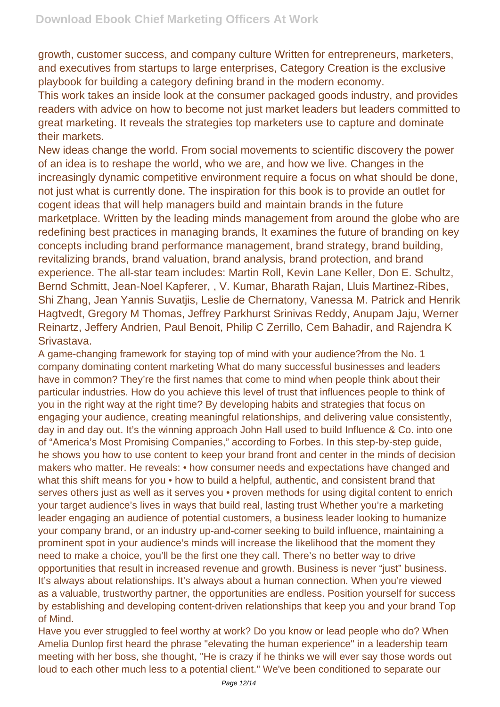growth, customer success, and company culture Written for entrepreneurs, marketers, and executives from startups to large enterprises, Category Creation is the exclusive playbook for building a category defining brand in the modern economy.

This work takes an inside look at the consumer packaged goods industry, and provides readers with advice on how to become not just market leaders but leaders committed to great marketing. It reveals the strategies top marketers use to capture and dominate their markets.

New ideas change the world. From social movements to scientific discovery the power of an idea is to reshape the world, who we are, and how we live. Changes in the increasingly dynamic competitive environment require a focus on what should be done, not just what is currently done. The inspiration for this book is to provide an outlet for cogent ideas that will help managers build and maintain brands in the future marketplace. Written by the leading minds management from around the globe who are redefining best practices in managing brands, It examines the future of branding on key concepts including brand performance management, brand strategy, brand building, revitalizing brands, brand valuation, brand analysis, brand protection, and brand experience. The all-star team includes: Martin Roll, Kevin Lane Keller, Don E. Schultz, Bernd Schmitt, Jean-Noel Kapferer, , V. Kumar, Bharath Rajan, Lluis Martinez-Ribes, Shi Zhang, Jean Yannis Suvatjis, Leslie de Chernatony, Vanessa M. Patrick and Henrik Hagtvedt, Gregory M Thomas, Jeffrey Parkhurst Srinivas Reddy, Anupam Jaju, Werner Reinartz, Jeffery Andrien, Paul Benoit, Philip C Zerrillo, Cem Bahadir, and Rajendra K Srivastava.

A game-changing framework for staying top of mind with your audience?from the No. 1 company dominating content marketing What do many successful businesses and leaders have in common? They're the first names that come to mind when people think about their particular industries. How do you achieve this level of trust that influences people to think of you in the right way at the right time? By developing habits and strategies that focus on engaging your audience, creating meaningful relationships, and delivering value consistently, day in and day out. It's the winning approach John Hall used to build Influence & Co. into one of "America's Most Promising Companies," according to Forbes. In this step-by-step guide, he shows you how to use content to keep your brand front and center in the minds of decision makers who matter. He reveals: • how consumer needs and expectations have changed and what this shift means for you • how to build a helpful, authentic, and consistent brand that serves others just as well as it serves you • proven methods for using digital content to enrich your target audience's lives in ways that build real, lasting trust Whether you're a marketing leader engaging an audience of potential customers, a business leader looking to humanize your company brand, or an industry up-and-comer seeking to build influence, maintaining a prominent spot in your audience's minds will increase the likelihood that the moment they need to make a choice, you'll be the first one they call. There's no better way to drive opportunities that result in increased revenue and growth. Business is never "just" business. It's always about relationships. It's always about a human connection. When you're viewed as a valuable, trustworthy partner, the opportunities are endless. Position yourself for success by establishing and developing content-driven relationships that keep you and your brand Top of Mind.

Have you ever struggled to feel worthy at work? Do you know or lead people who do? When Amelia Dunlop first heard the phrase "elevating the human experience" in a leadership team meeting with her boss, she thought, "He is crazy if he thinks we will ever say those words out loud to each other much less to a potential client." We've been conditioned to separate our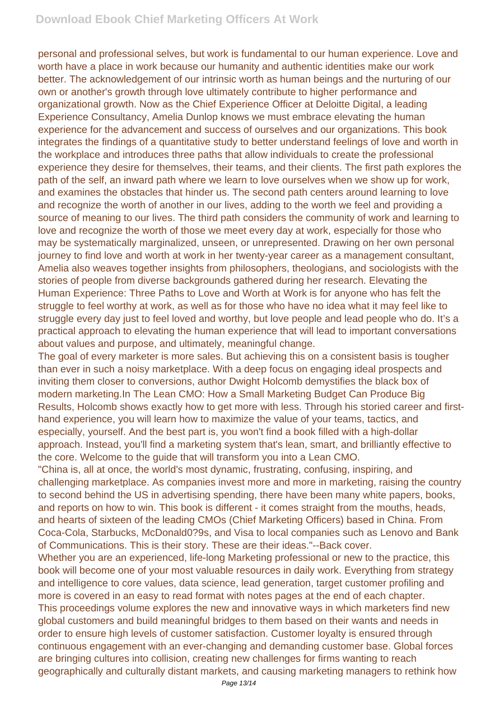personal and professional selves, but work is fundamental to our human experience. Love and worth have a place in work because our humanity and authentic identities make our work better. The acknowledgement of our intrinsic worth as human beings and the nurturing of our own or another's growth through love ultimately contribute to higher performance and organizational growth. Now as the Chief Experience Officer at Deloitte Digital, a leading Experience Consultancy, Amelia Dunlop knows we must embrace elevating the human experience for the advancement and success of ourselves and our organizations. This book integrates the findings of a quantitative study to better understand feelings of love and worth in the workplace and introduces three paths that allow individuals to create the professional experience they desire for themselves, their teams, and their clients. The first path explores the path of the self, an inward path where we learn to love ourselves when we show up for work, and examines the obstacles that hinder us. The second path centers around learning to love and recognize the worth of another in our lives, adding to the worth we feel and providing a source of meaning to our lives. The third path considers the community of work and learning to love and recognize the worth of those we meet every day at work, especially for those who may be systematically marginalized, unseen, or unrepresented. Drawing on her own personal journey to find love and worth at work in her twenty-year career as a management consultant, Amelia also weaves together insights from philosophers, theologians, and sociologists with the stories of people from diverse backgrounds gathered during her research. Elevating the Human Experience: Three Paths to Love and Worth at Work is for anyone who has felt the struggle to feel worthy at work, as well as for those who have no idea what it may feel like to struggle every day just to feel loved and worthy, but love people and lead people who do. It's a practical approach to elevating the human experience that will lead to important conversations about values and purpose, and ultimately, meaningful change.

The goal of every marketer is more sales. But achieving this on a consistent basis is tougher than ever in such a noisy marketplace. With a deep focus on engaging ideal prospects and inviting them closer to conversions, author Dwight Holcomb demystifies the black box of modern marketing.In The Lean CMO: How a Small Marketing Budget Can Produce Big Results, Holcomb shows exactly how to get more with less. Through his storied career and firsthand experience, you will learn how to maximize the value of your teams, tactics, and especially, yourself. And the best part is, you won't find a book filled with a high-dollar approach. Instead, you'll find a marketing system that's lean, smart, and brilliantly effective to the core. Welcome to the guide that will transform you into a Lean CMO.

"China is, all at once, the world's most dynamic, frustrating, confusing, inspiring, and challenging marketplace. As companies invest more and more in marketing, raising the country to second behind the US in advertising spending, there have been many white papers, books, and reports on how to win. This book is different - it comes straight from the mouths, heads, and hearts of sixteen of the leading CMOs (Chief Marketing Officers) based in China. From Coca-Cola, Starbucks, McDonald0?9s, and Visa to local companies such as Lenovo and Bank of Communications. This is their story. These are their ideas."--Back cover.

Whether you are an experienced, life-long Marketing professional or new to the practice, this book will become one of your most valuable resources in daily work. Everything from strategy and intelligence to core values, data science, lead generation, target customer profiling and more is covered in an easy to read format with notes pages at the end of each chapter. This proceedings volume explores the new and innovative ways in which marketers find new global customers and build meaningful bridges to them based on their wants and needs in order to ensure high levels of customer satisfaction. Customer loyalty is ensured through continuous engagement with an ever-changing and demanding customer base. Global forces are bringing cultures into collision, creating new challenges for firms wanting to reach geographically and culturally distant markets, and causing marketing managers to rethink how